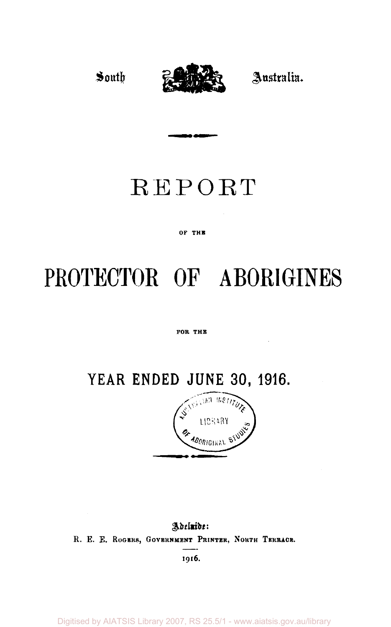

## REPORT

### OF THE

# PROTECTOR OF ABORIGINES

#### FOR THE

### **YEAR ENDED JUNE 30, 1916.**



Adelnide: R. E. E. ROGERS, GOVERNMENT PRINTER, NORTH TERRACE. **I9l6.** 

Digitised by AIATSIS Library 2007, RS 25.5/1 - www.aiatsis.gov.au/library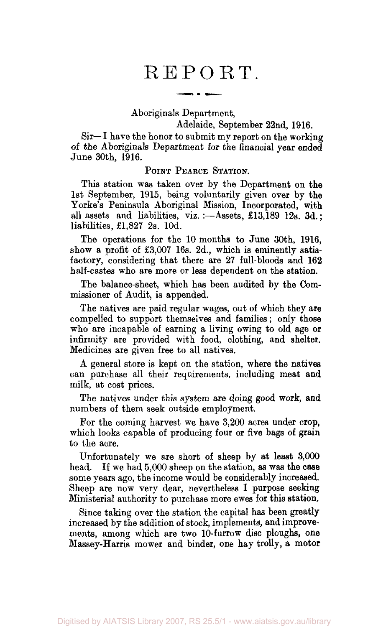### REPORT.

Aboriginals Department,

Adelaide, September 22nd, 1916.

Sir—I have the honor to submit my report on the working of the Aboriginals Department for the financial year ended June 30th, 1916.

### POINT PEARCE STATION.

This station was taken over by the Department on the 1st September, 1915, being voluntarily given over by the Yorke's Peninsula Aboriginal Mission, Incorporated, with all assets and liabilities, viz. :—Assets, £13,189 12s. 3d.; liabilities,  $£1,827$  2s. 10d.

The operations for the 10 months to June 30th, 1916, show a profit of £3,007 16s. 2d., which is eminently satisfactory, considering that there are 27 full-bloods and 162 half-castes who are more or less dependent on the station.

The balance-sheet, which has been audited by the Commissioner of Audit, is appended.

The natives are paid regular wages, out of which they are compelled to support themselves and families; only those who are incapable of earning a living owing to old age or infirmity are provided with food, clothing, and shelter. Medicines are given free to all natives.

A general store is kept on the station, where the natives can purchase all their requirements, including meat and milk, at cost prices.

The natives under this system are doing good work, and numbers of them seek outside employment.

For the coming harvest we have 3,200 acres under crop, which looks capable of producing four or five bags of grain to the acre.

Unfortunately we are short of sheep by at least 3,000 head. If we had 5,000 sheep on the station, as was the case some years ago, the income would be considerably increased. Sheep are now very dear, nevertheless I purpose seeking Ministerial authority to purchase more ewes for this station.

Since taking over the station the capital has been greatly increased by the addition of stock, implements, and improvements, among which are two 10-furrow disc ploughs, one Massey-Harris mower and binder, one hay trolly, a motor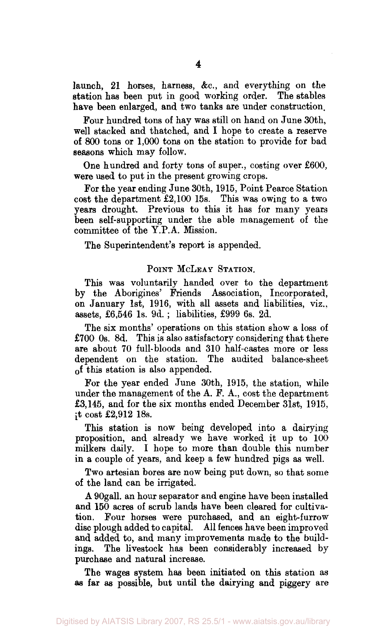launch, 21 horses, harness, &c, and everything on the station has been put in good working order. The stables have been enlarged, and two tanks are under construction.

Pour hundred tons of hay was still on hand on June 30th, well stacked and thatched, and I hope to create a reserve of 800 tons or 1,000 tons on the station to provide for bad seasons which may follow.

One hundred and forty tons of super., costing over £600, were used to put in the present growing crops.

For the year ending June 30th, 1915, Point Pearce Station cost the department £2,100 15s. This was owing to a two years drought. Previous to this it has for many years been self-supporting under the able management of the committee of the Y.P.A. Mission.

The Superintendent's report is appended.

### POINT MCLEAY STATION.

This was voluntarily handed over to the department by the Aborigines' Friends Association, Incorporated, on January 1st, 1916, with all assets and liabilities, viz., assets, £6,546 1s. 9d. ; liabilities, £999 6s. 2d.

The six months' operations on this station show a loss of £700 0s. 8d. This is also satisfactory considering that there are about 70 full-bloods and 310 half-castes more or less dependent on the station. The audited balance-sheet of this station is also appended.

For the year ended June 30th, 1915, the station, while under the management of the A. F. A., cost the department £3,145, and for the six months ended December 31st, 1915, it cost £2,912 18s.

This station is now being developed into a dairying proposition, and already we have worked it up to  $100$ milkers daily. I hope to more than double this number in a couple of years, and keep a few hundred pigs as well.

Two artesian bores are now being put down, so that some of the land can be irrigated.

A 90gall. an hour separator and engine have been installed and 150 acres of scrub lands have been cleared for cultivation. Four horses were purchased, and an eight-furrow disc plough added to capital. All fences have been improved and added to, and many improvements made to the buildings. The livestock has been considerably increased by purchase and natural increase.

The wages system has been initiated on this station as as far as possible, but until the dairying and piggery are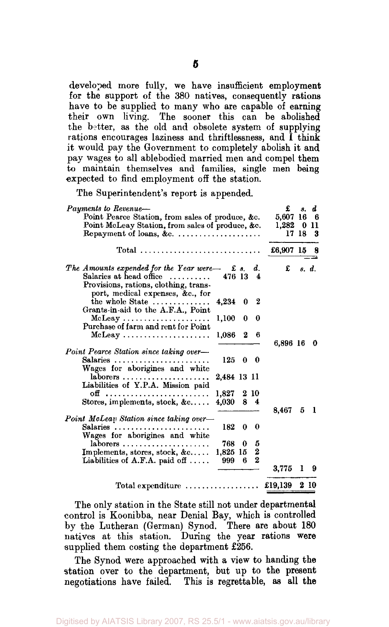developed more fully, we have insufficient employment for the support of the 380 natives, consequently rations have to be supplied to many who are capable of earning their own living. The sooner this can be abolished the better, as the old and obsolete system of supplying rations encourages laziness and thriftlessness, and I think it would pay the Government to completely abolish it and pay wages to all ablebodied married men and compel them to maintain themselves and families, single men being expected to find employment off the station.

The Superintendent's report is appended.

| Payments to Revenue-<br>Point Pearce Station, from sales of produce, &c.<br>Point McLeay Station, from sales of produce, &c.<br>Repayment of loans, &c. $\dots \dots \dots \dots \dots \dots$ | £<br>5,607 16<br>$1,282 \quad 011$ | 8.<br>17 18 | d<br>6<br>З |
|-----------------------------------------------------------------------------------------------------------------------------------------------------------------------------------------------|------------------------------------|-------------|-------------|
|                                                                                                                                                                                               | £6,907 15                          |             | 8           |
| The Amounts expended for the Year were-<br>$\pounds$ s. d.<br>Salaries at head office<br>476 13 4<br>Provisions, rations, clothing, trans-                                                    | $\mathbf{f}$                       |             | s. d.       |
| port, medical expenses, &c., for<br>the whole State<br>- 2<br>4,234<br>0<br>Grants-in-aid to the A.F.A., Point                                                                                |                                    |             |             |
| 1,100<br>$\bf{0}$<br>0<br>Purchase of farm and rent for Point                                                                                                                                 |                                    |             |             |
| 1,086<br>$\bf{2}$<br>6                                                                                                                                                                        | 6,896 16                           |             | 0           |
| Point Pearce Station since taking over-                                                                                                                                                       |                                    |             |             |
| Salaries<br>125<br>$0\quad 0$<br>Wages for aborigines and white                                                                                                                               |                                    |             |             |
| 2,484 13 11<br>laborers<br>Liabilities of Y.P.A. Mission paid                                                                                                                                 |                                    |             |             |
| 1.827<br>2 10                                                                                                                                                                                 |                                    |             |             |
| Stores, implements, stock, &c<br>4,030 8 4                                                                                                                                                    | 8.467                              | 5           | 1           |
| Point McLeau Station since taking over-                                                                                                                                                       |                                    |             |             |
| Salaries<br>182<br>0<br>0<br>Wages for aborigines and white                                                                                                                                   |                                    |             |             |
| 768 0<br>$laborers$ ,,,,,,,,<br>5                                                                                                                                                             |                                    |             |             |
| $\boldsymbol{2}$<br>Implements, stores, stock, $\&c \ldots$ .<br>1,825 15                                                                                                                     |                                    |             |             |
| $\bf{2}$<br>Liabilities of A.F.A. paid off $\ldots$ .<br>999<br>6.                                                                                                                            |                                    |             |             |
|                                                                                                                                                                                               | 3.775                              | 1           | 9           |
| $Total expenditure \dots \dots \dots \dots \dots$                                                                                                                                             | £19.139                            |             | 2 10        |

The only station in the State still not under departmental control is Koonibba, near Denial Bay, which is controlled by the Lutheran (German) Synod. There are about 180 natives at this station. During the year rations were supplied them costing the department £256.

The Synod were approached with a view to handing the station over to the department, but up to the present negotiations have failed. This is regrettable, as all the